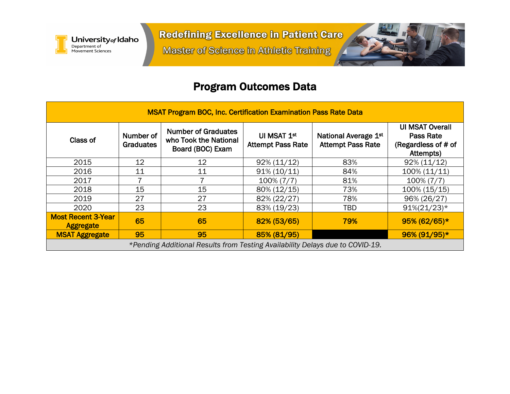

**Master of Science in Athletic Training** 



## Program Outcomes Data

| <b>MSAT Program BOC, Inc. Certification Examination Pass Rate Data</b>        |                               |                                                                         |                                         |                                                  |                                                                         |  |  |  |  |
|-------------------------------------------------------------------------------|-------------------------------|-------------------------------------------------------------------------|-----------------------------------------|--------------------------------------------------|-------------------------------------------------------------------------|--|--|--|--|
| Class of                                                                      | Number of<br><b>Graduates</b> | <b>Number of Graduates</b><br>who Took the National<br>Board (BOC) Exam | UI MSAT 1st<br><b>Attempt Pass Rate</b> | National Average 1st<br><b>Attempt Pass Rate</b> | <b>UI MSAT Overall</b><br>Pass Rate<br>(Regardless of # of<br>Attempts) |  |  |  |  |
| 2015                                                                          | 12                            | 12                                                                      | $92\% (11/12)$                          | 83%                                              | $92\% (11/12)$                                                          |  |  |  |  |
| 2016                                                                          | 11                            | 11                                                                      | $91\% (10/11)$                          | 84%                                              | $100\% (11/11)$                                                         |  |  |  |  |
| 2017                                                                          |                               |                                                                         | $100\% (7/7)$                           | 81%                                              | $100\% (7/7)$                                                           |  |  |  |  |
| 2018                                                                          | 15                            | 15                                                                      | 80% (12/15)                             | 73%                                              | 100% (15/15)                                                            |  |  |  |  |
| 2019                                                                          | 27                            | 27                                                                      | 82% (22/27)                             | 78%                                              | 96% (26/27)                                                             |  |  |  |  |
| 2020                                                                          | 23                            | 23                                                                      | 83% (19/23)                             | <b>TBD</b>                                       | $91\%(21/23)*$                                                          |  |  |  |  |
| <b>Most Recent 3-Year</b><br><b>Aggregate</b>                                 | 65                            | 65                                                                      | 82% (53/65)                             | 79%                                              | $95\% (62/65)*$                                                         |  |  |  |  |
| <b>MSAT Aggregate</b>                                                         | 95                            | 95                                                                      | 85% (81/95)                             |                                                  | 96% (91/95)*                                                            |  |  |  |  |
| *Pending Additional Results from Testing Availability Delays due to COVID-19. |                               |                                                                         |                                         |                                                  |                                                                         |  |  |  |  |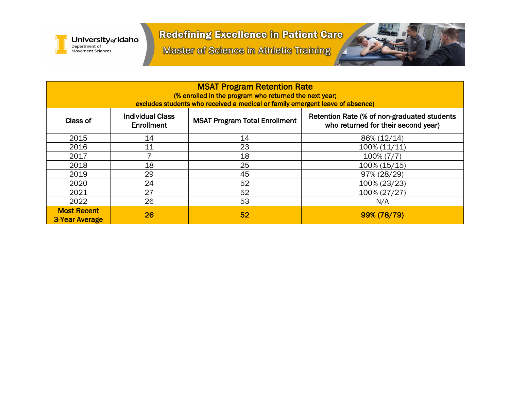

**Master of Science in Athletic Training** 



| <b>MSAT Program Retention Rate</b><br>(% enrolled in the program who returned the next year;<br>excludes students who received a medical or family emergent leave of absence) |                                              |                                      |                                                                                    |  |  |  |  |  |
|-------------------------------------------------------------------------------------------------------------------------------------------------------------------------------|----------------------------------------------|--------------------------------------|------------------------------------------------------------------------------------|--|--|--|--|--|
| Class of                                                                                                                                                                      | <b>Individual Class</b><br><b>Enrollment</b> | <b>MSAT Program Total Enrollment</b> | Retention Rate (% of non-graduated students<br>who returned for their second year) |  |  |  |  |  |
| 2015                                                                                                                                                                          | 14                                           | 14                                   | 86% (12/14)                                                                        |  |  |  |  |  |
| 2016                                                                                                                                                                          | 11                                           | 23                                   | $100\% (11/11)$                                                                    |  |  |  |  |  |
| 2017                                                                                                                                                                          |                                              | 18                                   | $100\% (7/7)$                                                                      |  |  |  |  |  |
| 2018                                                                                                                                                                          | 18                                           | 25                                   | 100% (15/15)                                                                       |  |  |  |  |  |
| 2019                                                                                                                                                                          | 29                                           | 45                                   | 97% (28/29)                                                                        |  |  |  |  |  |
| 2020                                                                                                                                                                          | 24                                           | 52                                   | 100% (23/23)                                                                       |  |  |  |  |  |
| 2021                                                                                                                                                                          | 27                                           | 52                                   | 100% (27/27)                                                                       |  |  |  |  |  |
| 2022                                                                                                                                                                          | 26                                           | 53                                   | N/A                                                                                |  |  |  |  |  |
| <b>Most Recent</b><br>3-Year Average                                                                                                                                          | 26                                           | 52                                   | 99% (78/79)                                                                        |  |  |  |  |  |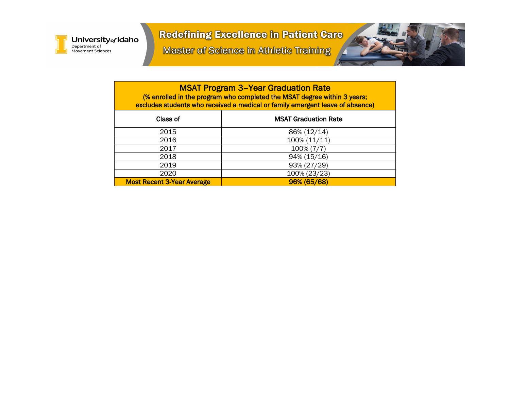

**Master of Science in Athletic Training** 



MSAT Program 3–Year Graduation Rate (% enrolled in the program who completed the MSAT degree within 3 years; excludes students who received a medical or family emergent leave of absence)

| Class of                          | <b>MSAT Graduation Rate</b> |
|-----------------------------------|-----------------------------|
| 2015                              | 86% (12/14)                 |
| 2016                              | 100% (11/11)                |
| 2017                              | 100% (7/7)                  |
| 2018                              | 94% (15/16)                 |
| 2019                              | 93% (27/29)                 |
| 2020                              | 100% (23/23)                |
| <b>Most Recent 3-Year Average</b> | 96% (65/68)                 |